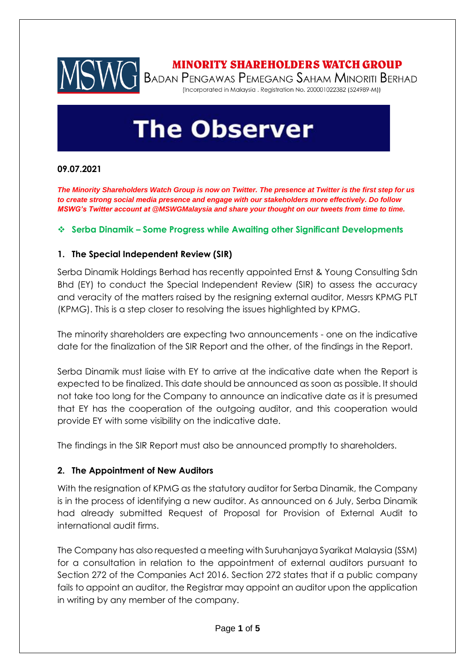

# **The Observer**

## **09.07.2021**

*The Minority Shareholders Watch Group is now on Twitter. The presence at Twitter is the first step for us to create strong social media presence and engage with our stakeholders more effectively. Do follow MSWG's Twitter account at @MSWGMalaysia and share your thought on our tweets from time to time.*

#### ❖ **Serba Dinamik – Some Progress while Awaiting other Significant Developments**

#### **1. The Special Independent Review (SIR)**

Serba Dinamik Holdings Berhad has recently appointed Ernst & Young Consulting Sdn Bhd (EY) to conduct the Special Independent Review (SIR) to assess the accuracy and veracity of the matters raised by the resigning external auditor, Messrs KPMG PLT (KPMG). This is a step closer to resolving the issues highlighted by KPMG.

The minority shareholders are expecting two announcements - one on the indicative date for the finalization of the SIR Report and the other, of the findings in the Report.

Serba Dinamik must liaise with EY to arrive at the indicative date when the Report is expected to be finalized. This date should be announced as soon as possible. It should not take too long for the Company to announce an indicative date as it is presumed that EY has the cooperation of the outgoing auditor, and this cooperation would provide EY with some visibility on the indicative date.

The findings in the SIR Report must also be announced promptly to shareholders.

#### **2. The Appointment of New Auditors**

With the resignation of KPMG as the statutory auditor for Serba Dinamik, the Company is in the process of identifying a new auditor. As announced on 6 July, Serba Dinamik had already submitted Request of Proposal for Provision of External Audit to international audit firms.

The Company has also requested a meeting with Suruhanjaya Syarikat Malaysia (SSM) for a consultation in relation to the appointment of external auditors pursuant to Section 272 of the Companies Act 2016. Section 272 states that if a public company fails to appoint an auditor, the Registrar may appoint an auditor upon the application in writing by any member of the company.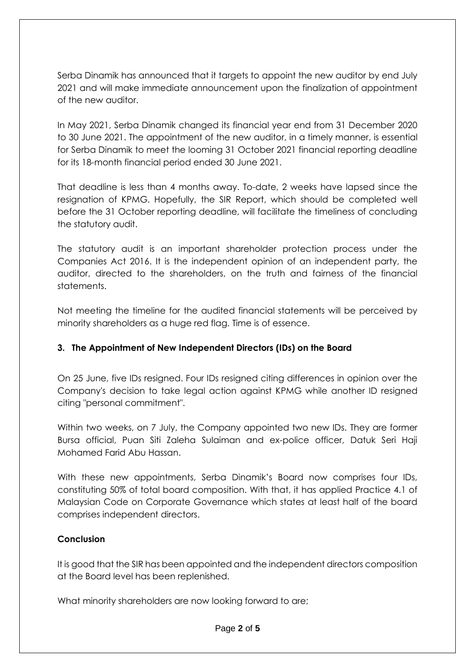Serba Dinamik has announced that it targets to appoint the new auditor by end July 2021 and will make immediate announcement upon the finalization of appointment of the new auditor.

In May 2021, Serba Dinamik changed its financial year end from 31 December 2020 to 30 June 2021. The appointment of the new auditor, in a timely manner, is essential for Serba Dinamik to meet the looming 31 October 2021 financial reporting deadline for its 18-month financial period ended 30 June 2021.

That deadline is less than 4 months away. To-date, 2 weeks have lapsed since the resignation of KPMG. Hopefully, the SIR Report, which should be completed well before the 31 October reporting deadline, will facilitate the timeliness of concluding the statutory audit.

The statutory audit is an important shareholder protection process under the Companies Act 2016. It is the independent opinion of an independent party, the auditor, directed to the shareholders, on the truth and fairness of the financial statements.

Not meeting the timeline for the audited financial statements will be perceived by minority shareholders as a huge red flag. Time is of essence.

## **3. The Appointment of New Independent Directors (IDs) on the Board**

On 25 June, five IDs resigned. Four IDs resigned citing differences in opinion over the Company's decision to take legal action against KPMG while another ID resigned citing "personal commitment".

Within two weeks, on 7 July, the Company appointed two new IDs. They are former Bursa official, Puan Siti Zaleha Sulaiman and ex-police officer, Datuk Seri Haji Mohamed Farid Abu Hassan.

With these new appointments, Serba Dinamik's Board now comprises four IDs, constituting 50% of total board composition. With that, it has applied Practice 4.1 of Malaysian Code on Corporate Governance which states at least half of the board comprises independent directors.

## **Conclusion**

It is good that the SIR has been appointed and the independent directors composition at the Board level has been replenished.

What minority shareholders are now looking forward to are;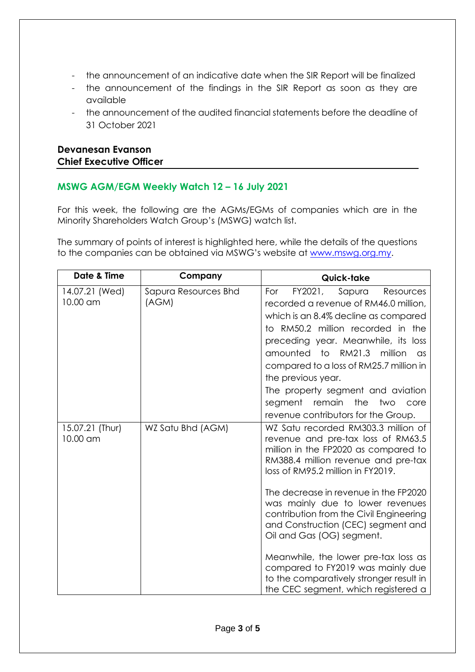- the announcement of an indicative date when the SIR Report will be finalized
- the announcement of the findings in the SIR Report as soon as they are available
- the announcement of the audited financial statements before the deadline of 31 October 2021

#### **Devanesan Evanson Chief Executive Officer**

## **MSWG AGM/EGM Weekly Watch 12 – 16 July 2021**

For this week, the following are the AGMs/EGMs of companies which are in the Minority Shareholders Watch Group's (MSWG) watch list.

The summary of points of interest is highlighted here, while the details of the questions to the companies can be obtained via MSWG's website at [www.mswg.org.my.](http://www.mswg.org.my/)

| Date & Time                 | Company                       | Quick-take                                                                                                                                                                                                                                                                                                                                                                                                                                   |
|-----------------------------|-------------------------------|----------------------------------------------------------------------------------------------------------------------------------------------------------------------------------------------------------------------------------------------------------------------------------------------------------------------------------------------------------------------------------------------------------------------------------------------|
| 14.07.21 (Wed)<br>10.00 am  | Sapura Resources Bhd<br>(AGM) | FY2021,<br>Sapura<br>For<br>Resources<br>recorded a revenue of RM46.0 million,<br>which is an 8.4% decline as compared<br>to RM50.2 million recorded in the<br>preceding year. Meanwhile, its loss<br>RM21.3 million<br>amounted<br>to<br>$\alpha$ s<br>compared to a loss of RM25.7 million in<br>the previous year.<br>The property segment and aviation<br>the<br>remain<br>two<br>segment<br>core<br>revenue contributors for the Group. |
| 15.07.21 (Thur)<br>10.00 am | WZ Satu Bhd (AGM)             | WZ Satu recorded RM303.3 million of<br>revenue and pre-tax loss of RM63.5<br>million in the FP2020 as compared to<br>RM388.4 million revenue and pre-tax<br>loss of RM95.2 million in FY2019.                                                                                                                                                                                                                                                |
|                             |                               | The decrease in revenue in the FP2020<br>was mainly due to lower revenues<br>contribution from the Civil Engineering<br>and Construction (CEC) segment and<br>Oil and Gas (OG) segment.                                                                                                                                                                                                                                                      |
|                             |                               | Meanwhile, the lower pre-tax loss as<br>compared to FY2019 was mainly due<br>to the comparatively stronger result in<br>the CEC segment, which registered a                                                                                                                                                                                                                                                                                  |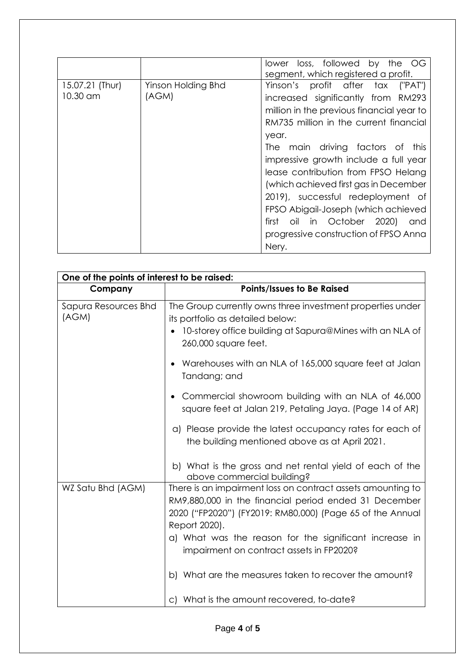|                             |                             | loss, followed by the OG<br>lower<br>segment, which registered a profit.                                                                                                                                                                                                                                                                                                                                                                                                                                      |
|-----------------------------|-----------------------------|---------------------------------------------------------------------------------------------------------------------------------------------------------------------------------------------------------------------------------------------------------------------------------------------------------------------------------------------------------------------------------------------------------------------------------------------------------------------------------------------------------------|
| 15.07.21 (Thur)<br>10.30 am | Yinson Holding Bhd<br>(AGM) | Yinson's profit after tax<br>('PAT')<br>increased significantly from RM293<br>million in the previous financial year to<br>RM735 million in the current financial<br>year.<br>The main driving factors of this<br>impressive growth include a full year<br>lease contribution from FPSO Helang<br>(which achieved first gas in December<br>2019), successful redeployment of<br>FPSO Abigail-Joseph (which achieved<br>oil in October 2020)<br>first<br>and<br>progressive construction of FPSO Anna<br>Nery. |

| One of the points of interest to be raised: |                                                                                                                                                                                                                                                                                                          |  |  |
|---------------------------------------------|----------------------------------------------------------------------------------------------------------------------------------------------------------------------------------------------------------------------------------------------------------------------------------------------------------|--|--|
| Company                                     | Points/Issues to Be Raised                                                                                                                                                                                                                                                                               |  |  |
| Sapura Resources Bhd<br>(AGM)               | The Group currently owns three investment properties under<br>its portfolio as detailed below:<br>10-storey office building at Sapura@Mines with an NLA of<br>260,000 square feet.                                                                                                                       |  |  |
|                                             | Warehouses with an NLA of 165,000 square feet at Jalan<br>$\bullet$<br>Tandang; and                                                                                                                                                                                                                      |  |  |
|                                             | Commercial showroom building with an NLA of 46,000<br>٠<br>square feet at Jalan 219, Petaling Jaya. (Page 14 of AR)                                                                                                                                                                                      |  |  |
|                                             | a) Please provide the latest occupancy rates for each of<br>the building mentioned above as at April 2021.                                                                                                                                                                                               |  |  |
|                                             | b) What is the gross and net rental yield of each of the<br>above commercial building?                                                                                                                                                                                                                   |  |  |
| WZ Satu Bhd (AGM)                           | There is an impairment loss on contract assets amounting to<br>RM9,880,000 in the financial period ended 31 December<br>2020 ("FP2020") (FY2019: RM80,000) (Page 65 of the Annual<br>Report 2020).<br>a) What was the reason for the significant increase in<br>impairment on contract assets in FP2020? |  |  |
|                                             | b) What are the measures taken to recover the amount?<br>c) What is the amount recovered, to-date?                                                                                                                                                                                                       |  |  |